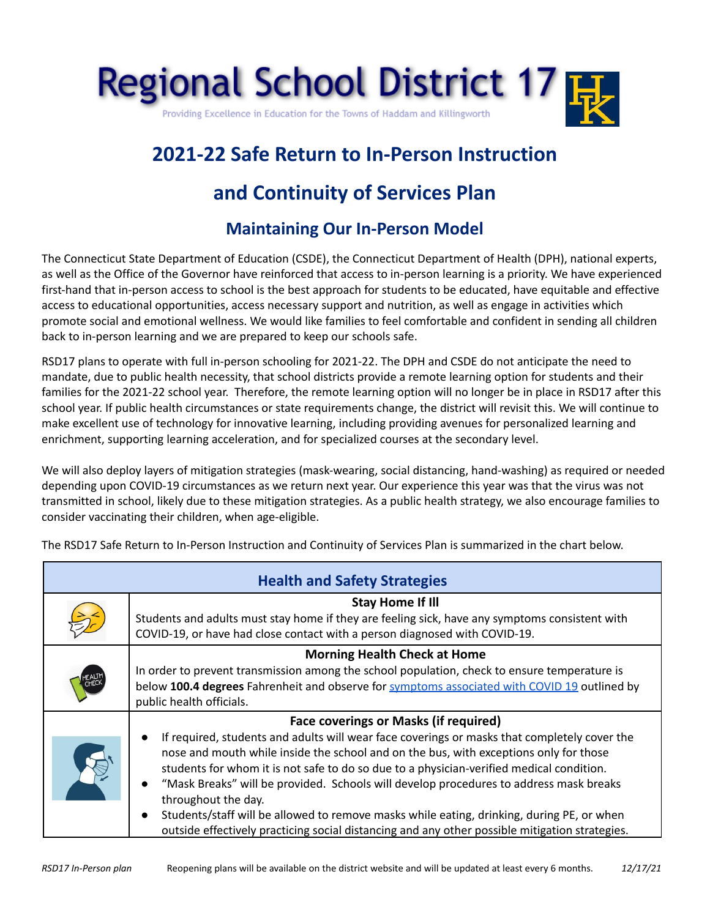

## **2021-22 Safe Return to In-Person Instruction**

## **and Continuity of Services Plan**

## **Maintaining Our In-Person Model**

The Connecticut State Department of Education (CSDE), the Connecticut Department of Health (DPH), national experts, as well as the Office of the Governor have reinforced that access to in-person learning is a priority. We have experienced first-hand that in-person access to school is the best approach for students to be educated, have equitable and effective access to educational opportunities, access necessary support and nutrition, as well as engage in activities which promote social and emotional wellness. We would like families to feel comfortable and confident in sending all children back to in-person learning and we are prepared to keep our schools safe.

RSD17 plans to operate with full in-person schooling for 2021-22. The DPH and CSDE do not anticipate the need to mandate, due to public health necessity, that school districts provide a remote learning option for students and their families for the 2021-22 school year. Therefore, the remote learning option will no longer be in place in RSD17 after this school year. If public health circumstances or state requirements change, the district will revisit this. We will continue to make excellent use of technology for innovative learning, including providing avenues for personalized learning and enrichment, supporting learning acceleration, and for specialized courses at the secondary level.

We will also deploy layers of mitigation strategies (mask-wearing, social distancing, hand-washing) as required or needed depending upon COVID-19 circumstances as we return next year. Our experience this year was that the virus was not transmitted in school, likely due to these mitigation strategies. As a public health strategy, we also encourage families to consider vaccinating their children, when age-eligible.

| <b>Health and Safety Strategies</b> |                                                                                                                                                                                                                                                                                                                                                                                                                                                                                                                                                                                                                                                                                          |  |
|-------------------------------------|------------------------------------------------------------------------------------------------------------------------------------------------------------------------------------------------------------------------------------------------------------------------------------------------------------------------------------------------------------------------------------------------------------------------------------------------------------------------------------------------------------------------------------------------------------------------------------------------------------------------------------------------------------------------------------------|--|
|                                     | <b>Stay Home If Ill</b><br>Students and adults must stay home if they are feeling sick, have any symptoms consistent with<br>COVID-19, or have had close contact with a person diagnosed with COVID-19.                                                                                                                                                                                                                                                                                                                                                                                                                                                                                  |  |
|                                     | <b>Morning Health Check at Home</b><br>In order to prevent transmission among the school population, check to ensure temperature is<br>below 100.4 degrees Fahrenheit and observe for symptoms associated with COVID 19 outlined by<br>public health officials.                                                                                                                                                                                                                                                                                                                                                                                                                          |  |
|                                     | <b>Face coverings or Masks (if required)</b><br>If required, students and adults will wear face coverings or masks that completely cover the<br>$\bullet$<br>nose and mouth while inside the school and on the bus, with exceptions only for those<br>students for whom it is not safe to do so due to a physician-verified medical condition.<br>"Mask Breaks" will be provided. Schools will develop procedures to address mask breaks<br>$\bullet$<br>throughout the day.<br>Students/staff will be allowed to remove masks while eating, drinking, during PE, or when<br>$\bullet$<br>outside effectively practicing social distancing and any other possible mitigation strategies. |  |

The RSD17 Safe Return to In-Person Instruction and Continuity of Services Plan is summarized in the chart below.